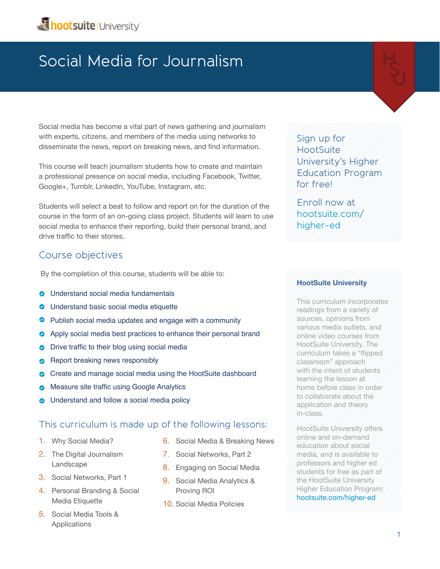Social media has become a vital part of news gathering and journalism with experts, citizens, and members of the media using networks to disseminate the news, report on breaking news, and find information.

This course will teach journalism students how to create and maintain a professional presence on social media, including Facebook, Twitter, Google+, Tumblr, LinkedIn, YouTube, Instagram, etc.

Students will select a beat to follow and report on for the duration of the course in the form of an on-going class project. Students will learn to use social media to enhance their reporting, build their personal brand, and drive traffic to their stories.

### Course objectives

By the completion of this course, students will be able to:

- **•** Understand social media fundamentals
- **•** Understand basic social media etiquette
- Publish social media updates and engage with a community
- **•** Apply social media best practices to enhance their personal brand
- Drive traffic to their blog using social media
- Report breaking news responsibly
- Create and manage social media using the HootSuite dashboard
- Measure site traffic using Google Analytics
- Understand and follow a social media policy

### This curriculum is made up of the following lessons:

- 1. Why Social Media?
- 2. The Digital Journalism Landscape
- 3. Social Networks, Part 1
- 4. Personal Branding & Social Media Etiquette
- 5. Social Media Tools & Applications
- 6. Social Media & Breaking News
- 7. Social Networks, Part 2
- 8. Engaging on Social Media
- 9. Social Media Analytics & Proving ROI
- 10. Social Media Policies

Sign up for **HootSuite** University's Higher Education Program for free!

Enroll now at [hootsuite.com/](hootsuite.com/higher-ed) [higher-ed](hootsuite.com/higher-ed)

### **HootSuite University**

This curriculum incorporates readings from a variety of sources, opinions from various media outlets, and online video courses from HootSuite University. The curriculum takes a "flipped classroom" approach with the intent of students learning the lesson at home before class in order to collaborate about the application and theory in-class.

HootSuite University offers online and on-demand education about social media, and is available to professors and higher ed students for free as part of the HootSuite University Higher Education Program: [hootsuite.com/higher-ed](http://blog.hootsuite.com/media/owly-family/)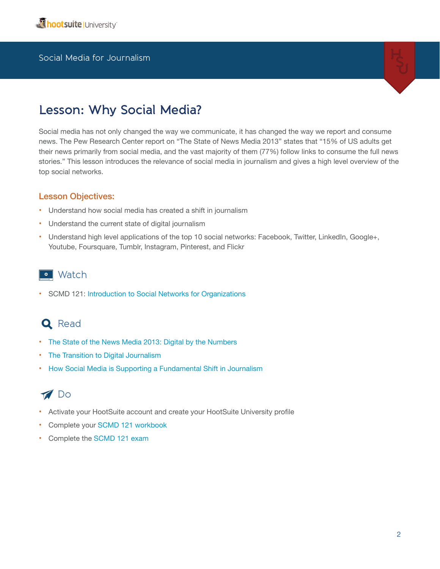

# **Lesson: Why Social Media?**

Social media has not only changed the way we communicate, it has changed the way we report and consume news. The Pew Research Center report on "The State of News Media 2013" states that "15% of US adults get their news primarily from social media, and the vast majority of them (77%) follow links to consume the full news stories." This lesson introduces the relevance of social media in journalism and gives a high level overview of the top social networks.

#### Lesson Objectives:

- Understand how social media has created a shift in journalism
- Understand the current state of digital journalism
- Understand high level applications of the top 10 social networks: Facebook, Twitter, LinkedIn, Google+, Youtube, Foursquare, Tumblr, Instagram, Pinterest, and Flickr

### **o** Watch

• SCMD 121: [Introduction to Social Networks for Organizations](http://learn.hootsuite.com/student.php?ctg=content&view_unit=93)

### **Q** Read

- [The State of the News Media 2013: Digital by the Numbers](http://stateofthemedia.org/2013/digital-as-mobile-grows-rapidly-the-pressures-on-news-intensify/digital-by-the-numbers/)
- [The Transition to Digital Journalism](http://multimedia.journalism.berkeley.edu/tutorials/digital-transform/social-networks/)
- [How Social Media is Supporting a Fundamental Shift in Journalism](http://www.huffingtonpost.com/jayson-demers/how-social-media-is-suppo_b_3239076.html)

# **M** Do

- Activate your HootSuite account and create your HootSuite University profile
- Complete your [SCMD 121 workbook](http://learn.hootsuite.com/download.php?id=6659)
- Complete the [SCMD 121 exam](http://learn.hootsuite.com/student.php?view_unit=92)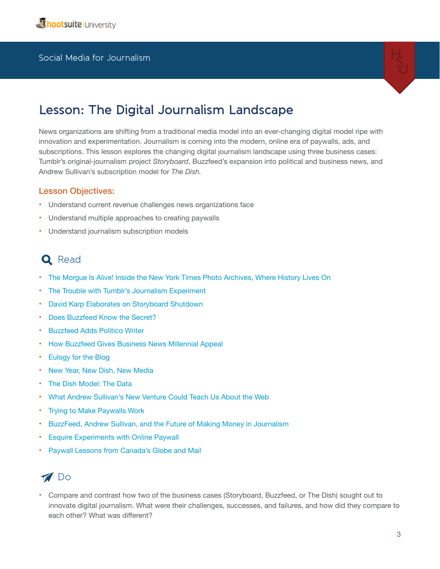

# **Lesson: The Digital Journalism Landscape**

News organizations are shifting from a traditional media model into an ever-changing digital model ripe with innovation and experimentation. Journalism is coming into the modern, online era of paywalls, ads, and subscriptions. This lesson explores the changing digital journalism landscape using three business cases: Tumblr's original-journalism project *Storyboard*, Buzzfeed's expansion into political and business news, and Andrew Sullivan's subscription model for *The Dish.*

#### Lesson Objectives:

- Understand current revenue challenges news organizations face
- Understand multiple approaches to creating paywalls
- Understand journalism subscription models

# **Q** Read

- [The Morgue Is Alive! Inside the New York Times Photo Archives, Where History Lives On](http://storyboard.tumblr.com/post/22550788076/the-morgue-is-alive-inside-the-new-york-times)
- [The Trouble with Tumblr's Journalism Experiment](http://pandodaily.com/2013/04/10/the-trouble-with-tumblrs-journalism-experiment/)
- [David Karp Elaborates on Storyboard Shutdown](http://mashable.com/2013/04/17/david-karp-tumblr-storyboard-shutdown/)
- [Does Buzzfeed Know the Secret?](http://nymag.com/news/features/buzzfeed-2013-4/)
- **[Buzzfeed Adds Politico Writer](http://mediadecoder.blogs.nytimes.com/2011/12/12/buzzfeed-adds-politico-writer/)**
- [How Buzzfeed Gives Business News Millennial Appeal](http://techonomy.com/2013/06/how-buzzfeed-gives-business-news-millennial-appeal/)
- [Eulogy for the Blog](http://www.newrepublic.com/article/113053/new-york-times-buzzfeed-andrew-sullivan-herald-death-blog#)
- [New Year, New Dish, New Media](http://dish.andrewsullivan.com/2013/01/27/a-declaration-of-independence/)
- [The Dish Model: The Data](http://dish.andrewsullivan.com/2013/01/03/the-dish-model-the-data/)
- [What Andrew Sullivan's New Venture Could Teach Us About the Web](http://www.theatlantic.com/technology/archive/2013/01/what-andrew-sullivans-new-venture-could-teach-us-about-the-web/266783/)
- [Trying to Make Paywalls Work](http://venturebeat.com/2013/03/25/andrew-sullivan-dish-2-dollars-a-month/)
- [BuzzFeed, Andrew Sullivan, and the Future of Making Money in Journalism](http://www.theatlantic.com/business/archive/2013/01/buzzfeed-andrew-sullivan-and-the-future-of-making-money-in-journalism/266846/)
- **Esquire Experiments with Online Paywall**
- [Paywall Lessons from Canada's Globe and Mail](http://www.journalism.co.uk/news/-editors13-paywall-lessons-from-canada-s-globe-and-mail/s2/a553140/)



• Compare and contrast how two of the business cases (Storyboard, Buzzfeed, or The Dish) sought out to innovate digital journalism. What were their challenges, successes, and failures, and how did they compare to each other? What was different?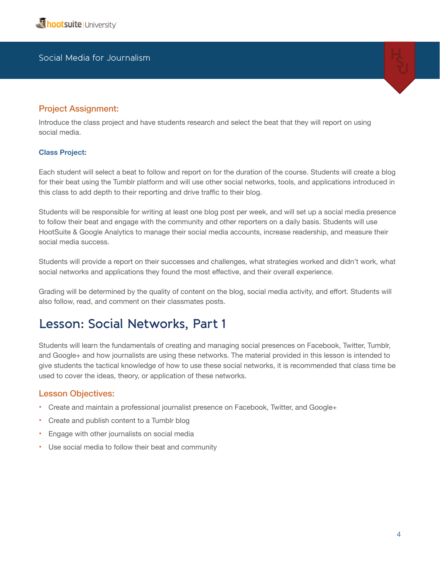#### Project Assignment:

Introduce the class project and have students research and select the beat that they will report on using social media.

#### **Class Project:**

Each student will select a beat to follow and report on for the duration of the course. Students will create a blog for their beat using the Tumblr platform and will use other social networks, tools, and applications introduced in this class to add depth to their reporting and drive traffic to their blog.

Students will be responsible for writing at least one blog post per week, and will set up a social media presence to follow their beat and engage with the community and other reporters on a daily basis. Students will use HootSuite & Google Analytics to manage their social media accounts, increase readership, and measure their social media success.

Students will provide a report on their successes and challenges, what strategies worked and didn't work, what social networks and applications they found the most effective, and their overall experience.

Grading will be determined by the quality of content on the blog, social media activity, and effort. Students will also follow, read, and comment on their classmates posts.

# **Lesson: Social Networks, Part 1**

Students will learn the fundamentals of creating and managing social presences on Facebook, Twitter, Tumblr, and Google+ and how journalists are using these networks. The material provided in this lesson is intended to give students the tactical knowledge of how to use these social networks, it is recommended that class time be used to cover the ideas, theory, or application of these networks.

#### Lesson Objectives:

- Create and maintain a professional journalist presence on Facebook, Twitter, and Google+
- Create and publish content to a Tumblr blog
- Engage with other journalists on social media
- Use social media to follow their beat and community

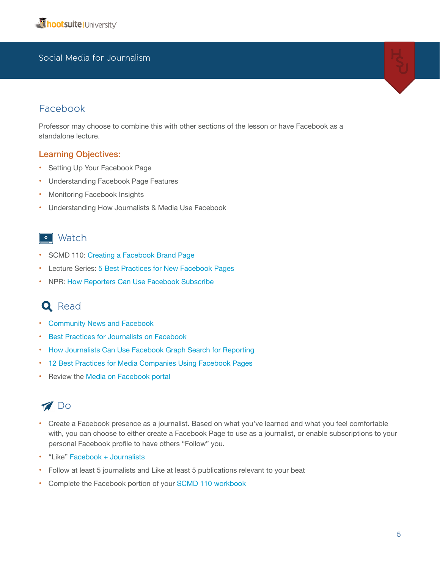### Facebook

Professor may choose to combine this with other sections of the lesson or have Facebook as a standalone lecture.

#### Learning Objectives:

- Setting Up Your Facebook Page
- Understanding Facebook Page Features
- Monitoring Facebook Insights
- Understanding How Journalists & Media Use Facebook

### · Watch

- SCMD 110: [Creating a Facebook Brand Page](http://learn.hootsuite.com/student.php?ctg=content&view_unit=86)
- Lecture Series[: 5 Best Practices for New Facebook Pages](http://learn.hootsuite.com/student.php?ctg=content&view_unit=69)
- NPR: [How Reporters Can Use Facebook Subscribe](http://vimeo.com/43265505)

# **Q** Read

- [Community News and Facebook](http://www.rjionline.org/blog/community-news-and-facebook)
- [Best Practices for Journalists on Facebook](https://www.facebook.com/notes/facebook-journalists/best-practices-for-journalists-on-facebook/593586440653374)
- [How Journalists Can Use Facebook Graph Search for Reporting](https://www.facebook.com/notes/facebook-journalists/how-journalists-can-use-facebook-graph-search-for-reporting/543504605661558)
- [12 Best Practices for Media Companies Using Facebook Pages](https://www.facebook.com/notes/facebook-media/12-best-practices-for-media-companies-using-facebook-pages/518053828230111)
- Review the [Media on Facebook portal](https://developers.facebook.com/media/)

# Do

- Create a Facebook presence as a journalist. Based on what you've learned and what you feel comfortable with, you can choose to either create a Facebook Page to use as a journalist, or enable subscriptions to your personal Facebook profile to have others "Follow" you.
- "Like" [Facebook + Journalists](https://www.facebook.com/journalists)
- Follow at least 5 journalists and Like at least 5 publications relevant to your beat
- Complete the Facebook portion of your [SCMD 110 workbook](http://learn.hootsuite.com/download.php?id=6461)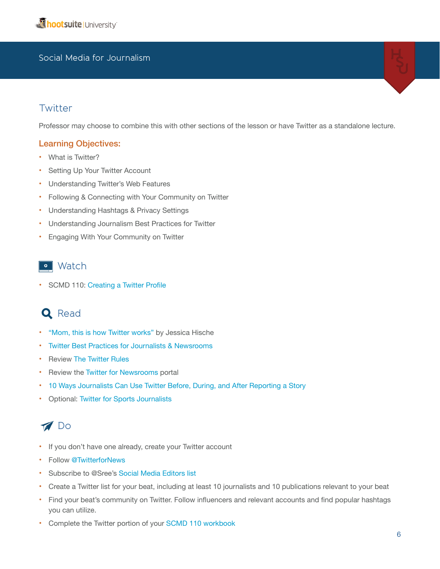### **Twitter**

Professor may choose to combine this with other sections of the lesson or have Twitter as a standalone lecture.

#### Learning Objectives:

- What is Twitter?
- Setting Up Your Twitter Account
- Understanding Twitter's Web Features
- Following & Connecting with Your Community on Twitter
- Understanding Hashtags & Privacy Settings
- Understanding Journalism Best Practices for Twitter
- Engaging With Your Community on Twitter

### • Watch

• SCMD 110: [Creating a Twitter Profile](http://learn.hootsuite.com/student.php?ctg=content&view_unit=86)

### **Q** Read

- ["Mom, this is how Twitter works"](http://www.momthisishowtwitterworks.com/) by Jessica Hische
- [Twitter Best Practices for Journalists & Newsrooms](https://dev.twitter.com/sites/default/files/files_media/journalistbestpractices.pdf)
- Review [The Twitter Rules](https://support.twitter.com/articles/18311-the-twitter-rules)
- Review the [Twitter for Newsrooms](https://dev.twitter.com/media/newsrooms) portal
- [10 Ways Journalists Can Use Twitter Before, During, and After Reporting a Story](http://www.poynter.org/how-tos/digital-strategies/146345/10-ways-journalists-can-use-twitter-before-during-and-after-reporting-a-story/)
- Optional: [Twitter for Sports Journalists](https://dev.twitter.com/sites/default/files/files_media/tweet_your_beat_-_sports_1.pdf)

# Do

- If you don't have one already, create your Twitter account
- Follow [@TwitterforNews](http://twitter.com/twitterfornews)
- Subscribe to @Sree's [Social Media Editors list](https://twitter.com/sree/socmedia-editors)
- Create a Twitter list for your beat, including at least 10 journalists and 10 publications relevant to your beat
- Find your beat's community on Twitter. Follow influencers and relevant accounts and find popular hashtags you can utilize.
- Complete the Twitter portion of your [SCMD 110 workbook](http://learn.hootsuite.com/download.php?id=6461)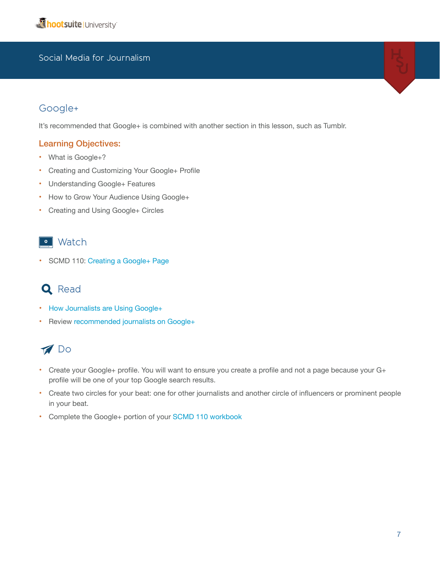### Google+

It's recommended that Google+ is combined with another section in this lesson, such as Tumblr.

#### Learning Objectives:

- What is Google+?
- Creating and Customizing Your Google+ Profile
- Understanding Google+ Features
- How to Grow Your Audience Using Google+
- Creating and Using Google+ Circles

### **o** Watch

• SCMD 110: [Creating a Google+ Page](http://learn.hootsuite.com/student.php?ctg=content&view_unit=86)

# **Q** Read

- [How Journalists are Using Google+](http://readwrite.com/2012/09/26/how-journalists-are-using-google#awesm=~obMC0RUxBzosob)
- Review [recommended journalists on Google+](http://www.recommendedusers.com/journalists/)

# **M** Do

- Create your Google+ profile. You will want to ensure you create a profile and not a page because your G+ profile will be one of your top Google search results.
- Create two circles for your beat: one for other journalists and another circle of influencers or prominent people in your beat.
- Complete the Google+ portion of your [SCMD 110 workbook](http://learn.hootsuite.com/download.php?id=6461)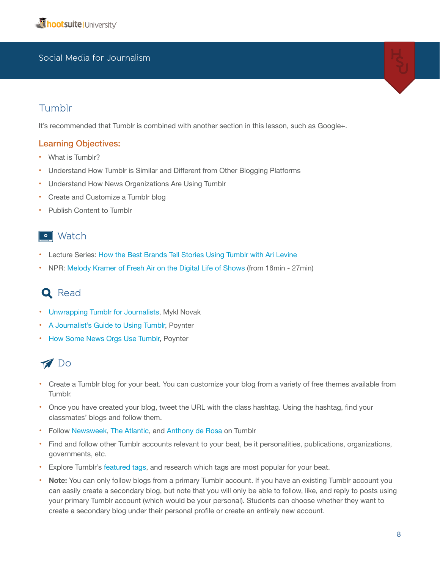### Tumblr

It's recommended that Tumblr is combined with another section in this lesson, such as Google+.

#### Learning Objectives:

- What is Tumblr?
- Understand How Tumblr is Similar and Different from Other Blogging Platforms
- Understand How News Organizations Are Using Tumblr
- Create and Customize a Tumblr blog
- Publish Content to Tumblr

### • Watch

- Lecture Series: [How the Best Brands Tell Stories Using Tumblr with Ari Levine](http://learn.hootsuite.com/student.php?view_unit=114)
- NPR: [Melody Kramer of Fresh Air on the Digital Life of Shows](http://vimeo.com/43220162) (from 16min 27min)

# **Q** Read

- [Unwrapping Tumblr for Journalists,](http://www.slideshare.net/myklnovak/unwrapping-tumblr-for-journalists) Mykl Novak
- [A Journalist's Guide to Using Tumblr,](http://www.poynter.org/how-tos/214081/a-journalists-guide-to-using-tumblr/) Poynter
- [How Some News Orgs Use Tumblr](http://www.poynter.org/how-tos/digital-strategies/213972/how-some-news-orgs-use-tumblr/), Poynter

### **M** Do

- Create a Tumblr blog for your beat. You can customize your blog from a variety of free themes available from Tumblr.
- Once you have created your blog, tweet the URL with the class hashtag. Using the hashtag, find your classmates' blogs and follow them.
- Follow [Newsweek,](http://newsweek.tumblr.com/) [The Atlantic](http://atlantic.tumblr.com), and [Anthony de Rosa](http://soupsoup.tumblr.com/) on Tumblr
- Find and follow other Tumblr accounts relevant to your beat, be it personalities, publications, organizations, governments, etc.
- Explore Tumblr's [featured tags](http://www.tumblr.com/explore), and research which tags are most popular for your beat.
- **Note:** You can only follow blogs from a primary Tumblr account. If you have an existing Tumblr account you can easily create a secondary blog, but note that you will only be able to follow, like, and reply to posts using your primary Tumblr account (which would be your personal). Students can choose whether they want to create a secondary blog under their personal profile or create an entirely new account.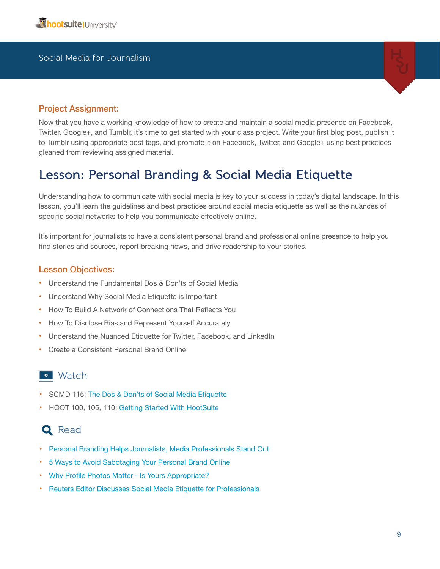

#### Project Assignment:

Now that you have a working knowledge of how to create and maintain a social media presence on Facebook, Twitter, Google+, and Tumblr, it's time to get started with your class project. Write your first blog post, publish it to Tumblr using appropriate post tags, and promote it on Facebook, Twitter, and Google+ using best practices gleaned from reviewing assigned material.

# **Lesson: Personal Branding & Social Media Etiquette**

Understanding how to communicate with social media is key to your success in today's digital landscape. In this lesson, you'll learn the guidelines and best practices around social media etiquette as well as the nuances of specific social networks to help you communicate effectively online.

It's important for journalists to have a consistent personal brand and professional online presence to help you find stories and sources, report breaking news, and drive readership to your stories.

#### Lesson Objectives:

- Understand the Fundamental Dos & Don'ts of Social Media
- Understand Why Social Media Etiquette is Important
- How To Build A Network of Connections That Reflects You
- How To Disclose Bias and Represent Yourself Accurately
- Understand the Nuanced Etiquette for Twitter, Facebook, and LinkedIn
- Create a Consistent Personal Brand Online

### • Watch

- SCMD 115: [The Dos & Don'ts of Social Media Etiquette](http://learn.hootsuite.com/student.php?ctg=content&view_unit=132)
- HOOT 100, 105, 110: [Getting Started With HootSuite](http://learn.hootsuite.com/student.php?ctg=content&view_unit=122)

### **Q** Read

- [Personal Branding Helps Journalists, Media Professionals Stand Out](http://www.dnainfo.com/new-york/20100308/manhattan/personal-branding-helps-journalists-media-professionals-stand-out)
- [5 Ways to Avoid Sabotaging Your Personal Brand Online](http://mashable.com/2010/02/11/avoid-sabotage-personal-brand/)
- [Why Profile Photos Matter Is Yours Appropriate?](http://www.dnainfo.com/new-york/20100412/morningside-heights/why-profile-photos-matter-mdash-is-yours-appropriate)
- [Reuters Editor Discusses Social Media Etiquette for Professionals](http://www.businessinsider.com/reuters-editor-reveals-future-of-social-2012-9?op=1#ixzz2ZHacRCOu)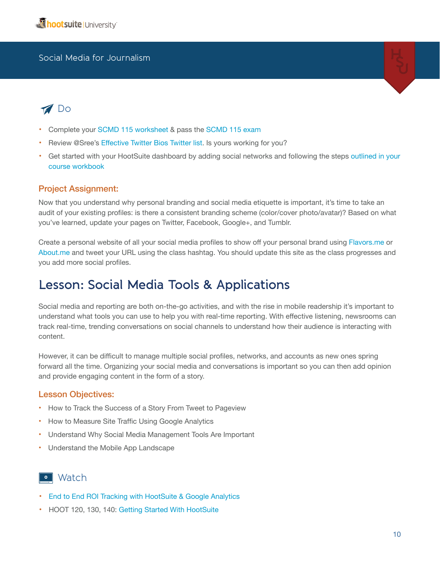

# **Do**

- Complete your [SCMD 115 worksheet](http://learn.hootsuite.com/download.php?id=5632) & pass the [SCMD 115 exam](http://learn.hootsuite.com/student.php?ctg=content&view_unit=135)
- Review @Sree's [Effective Twitter Bios Twitter list](https://twitter.com/sree/effective-twitter-bios/members). Is yours working for you?
- Get started with your HootSuite dashboard by adding social networks and following the steps [outlined in your](http://learn.hootsuite.com/download.php?id=5914)  [course workbook](http://learn.hootsuite.com/download.php?id=5914)

#### Project Assignment:

Now that you understand why personal branding and social media etiquette is important, it's time to take an audit of your existing profiles: is there a consistent branding scheme (color/cover photo/avatar)? Based on what you've learned, update your pages on Twitter, Facebook, Google+, and Tumblr.

Create a personal website of all your social media profiles to show off your personal brand using [Flavors.me](http://flavors.me) or About.me and tweet your URL using the class hashtag. You should update this site as the class progresses and you add more social profiles.

# **Lesson: Social Media Tools & Applications**

Social media and reporting are both on-the-go activities, and with the rise in mobile readership it's important to understand what tools you can use to help you with real-time reporting. With effective listening, newsrooms can track real-time, trending conversations on social channels to understand how their audience is interacting with content.

However, it can be difficult to manage multiple social profiles, networks, and accounts as new ones spring forward all the time. Organizing your social media and conversations is important so you can then add opinion and provide engaging content in the form of a story.

#### Lesson Objectives:

- How to Track the Success of a Story From Tweet to Pageview
- How to Measure Site Traffic Using Google Analytics
- Understand Why Social Media Management Tools Are Important
- Understand the Mobile App Landscape

### • Watch

- [End to End ROI Tracking with HootSuite & Google Analytics](http://socialbusiness.hootsuite.com/thank-you-webinar-end-to-end-roi.html?aliId=2774826)
- HOOT 120, 130, 140: [Getting Started With HootSuite](http://learn.hootsuite.com/student.php?ctg=content&view_unit=122)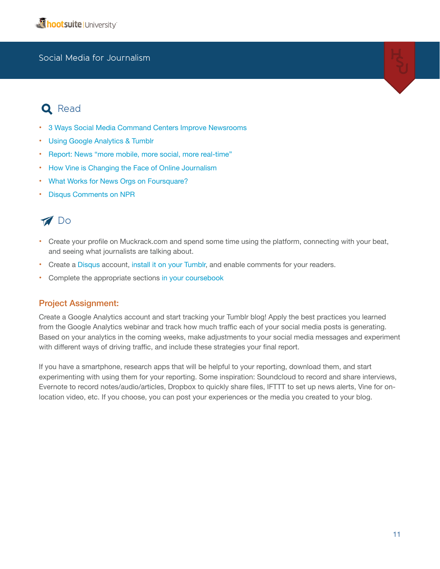# **Q** Read

- [3 Ways Social Media Command Centers Improve Newsrooms](http://socialbusiness.hootsuite.com/thank-you-whitepaper-3-ways-social-media-command-centers-improve-newsrooms.html?aliId=2774816)
- [Using Google Analytics & Tumblr](http://www.tumblr.com/docs/en/google_analytics)
- [Report: News "more mobile, more social, more real-time"](http://ijnet.org/blog/report-news-more-mobile-more-social-more-real-time)
- [How Vine is Changing the Face of Online Journalism](http://socialmediatoday.com/danejohncobain/1451086/how-vine-changing-face-online-journalism)
- [What Works for News Orgs on Foursquare?](http://www.niemanlab.org/2011/04/what-works-for-news-orgs-on-foursquare-opinion-reviews-evergreens-but-maybe-not-the-news/)
- [Disqus Comments on NPR](http://www.npr.org/blogs/inside/2012/09/19/161350609/and-we-are-live-new-comments-on-npr-org)

### **M** Do

- Create your profile on Muckrack.com and spend some time using the platform, connecting with your beat, and seeing what journalists are talking about.
- Create a [Disqus](http://disqus.com) account, [install it on your Tumblr](http://disqus.com/admin/tumblr/), and enable comments for your readers.
- Complete the appropriate sections [in your coursebook](http://learn.hootsuite.com/download.php?id=5914)

#### Project Assignment:

Create a Google Analytics account and start tracking your Tumblr blog! Apply the best practices you learned from the Google Analytics webinar and track how much traffic each of your social media posts is generating. Based on your analytics in the coming weeks, make adjustments to your social media messages and experiment with different ways of driving traffic, and include these strategies your final report.

If you have a smartphone, research apps that will be helpful to your reporting, download them, and start experimenting with using them for your reporting. Some inspiration: Soundcloud to record and share interviews, Evernote to record notes/audio/articles, Dropbox to quickly share files, IFTTT to set up news alerts, Vine for onlocation video, etc. If you choose, you can post your experiences or the media you created to your blog.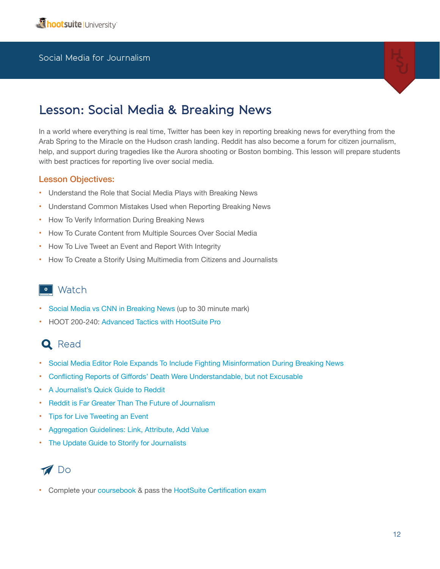

# **Lesson: Social Media & Breaking News**

In a world where everything is real time, Twitter has been key in reporting breaking news for everything from the Arab Spring to the Miracle on the Hudson crash landing. Reddit has also become a forum for citizen journalism, help, and support during tragedies like the Aurora shooting or Boston bombing. This lesson will prepare students with best practices for reporting live over social media.

#### Lesson Objectives:

- Understand the Role that Social Media Plays with Breaking News
- Understand Common Mistakes Used when Reporting Breaking News
- How To Verify Information During Breaking News
- How To Curate Content from Multiple Sources Over Social Media
- How To Live Tweet an Event and Report With Integrity
- How To Create a Storify Using Multimedia from Citizens and Journalists

### • Watch

- [Social Media vs CNN in Breaking News](http://www.youtube.com/watch?v=5CgxorYg4Z0&feature=youtu.be) (up to 30 minute mark)
- HOOT 200-240: [Advanced Tactics with HootSuite Pro](http://learn.hootsuite.com/student.php?ctg=content&view_unit=123)

# Q Read

- [Social Media Editor Role Expands To Include Fighting Misinformation During Breaking News](http://www.poynter.org/latest-news/making-sense-of-news/144848/social-media-editor-role-expands-to-include-fighting-misinformation-during-breaking-news/)
- [Conflicting Reports of Giffords' Death Were Understandable, but not Excusable](http://www.poynter.org/latest-news/top-stories/113876/conflicting-reports-of-giffords-death-were-understandable-but-not-excusable/)
- [A Journalist's Quick Guide to Reddit](http://www.poynter.org/latest-news/top-stories/187078/a-journalists-quick-guide-to-reddit-the-next-thing-you-have-to-learn/)
- [Reddit is Far Greater Than The Future of Journalism](http://www.dailydot.com/society/reddit-far-greater-future-social-journalism/)
- **Tips for Live Tweeting an Event**
- [Aggregation Guidelines: Link, Attribute, Add Value](http://stevebuttry.wordpress.com/2012/05/16/aggregation-guidelines-link-attribute-add-value/)
- [The Update Guide to Storify for Journalists](http://storify.com/kellyfincham/the-updated-guide-to-storify-for-journalists)



• Complete your [coursebook](http://learn.hootsuite.com/student.php?ctg=content&view_unit=33) & pass the [HootSuite Certification exam](http://learn.hootsuite.com/student.php?ctg=content&view_unit=33)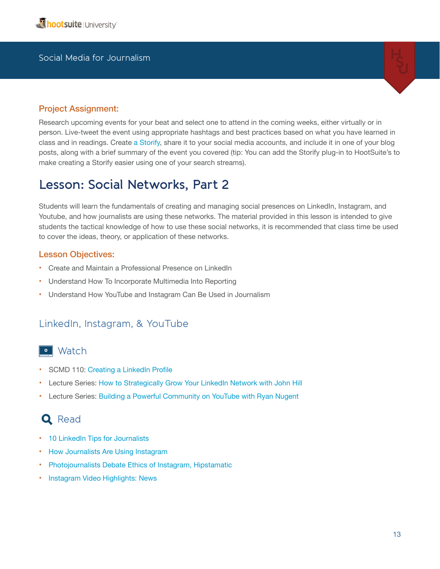

#### Project Assignment:

Research upcoming events for your beat and select one to attend in the coming weeks, either virtually or in person. Live-tweet the event using appropriate hashtags and best practices based on what you have learned in class and in readings. Create [a Storify,](http://storify.com) share it to your social media accounts, and include it in one of your blog posts, along with a brief summary of the event you covered (tip: You can add the Storify plug-in to HootSuite's to make creating a Storify easier using one of your search streams).

### **Lesson: Social Networks, Part 2**

Students will learn the fundamentals of creating and managing social presences on LinkedIn, Instagram, and Youtube, and how journalists are using these networks. The material provided in this lesson is intended to give students the tactical knowledge of how to use these social networks, it is recommended that class time be used to cover the ideas, theory, or application of these networks.

#### Lesson Objectives:

- Create and Maintain a Professional Presence on LinkedIn
- Understand How To Incorporate Multimedia Into Reporting
- Understand How YouTube and Instagram Can Be Used in Journalism

### LinkedIn, Instagram, & YouTube

### **o** Watch

- SCMD 110: [Creating a LinkedIn Profile](http://learn.hootsuite.com/student.php?ctg=content&view_unit=86)
- Lecture Series: How to Strategically Grow Your LinkedIn Network with John Hill
- Lecture Series: [Building a Powerful Community on YouTube with Ryan Nugent](http://learn.hootsuite.com/student.php?ctg=content&view_unit=115)

### **Q** Read

- 10 LinkedIn Tips for Journalists
- [How Journalists Are Using Instagram](http://readwrite.com/2012/09/24/how-journalists-are-using-instagram#awesm=~obNjj7T5ipLBu8)
- [Photojournalists Debate Ethics of Instagram, Hipstamatic](http://www.poynter.org/latest-news/mediawire/164908/photojournalists-debate-ethics-of-instagram-hipstamatic/)
- [Instagram Video Highlights: News](http://instagram-business.tumblr.com/post/53940884090/video-highlights-news-theres-no-shortage-of)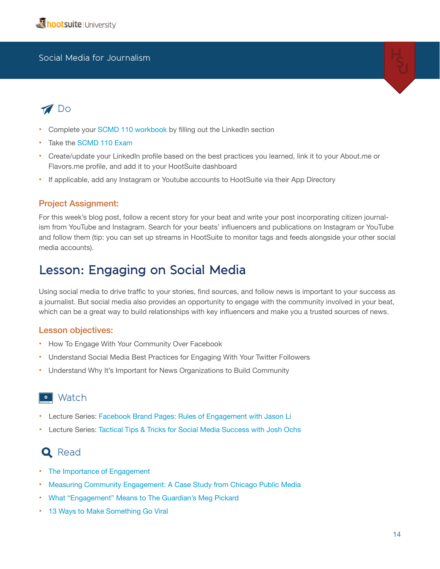# **Do**

- Complete your [SCMD 110 workbook](http://learn.hootsuite.com/download.php?id=6461) by filling out the LinkedIn section
- Take the SCMD 110 Exam
- Create/update your LinkedIn profile based on the best practices you learned, link it to your About.me or Flavors.me profile, and add it to your HootSuite dashboard
- If applicable, add any Instagram or Youtube accounts to HootSuite via their App Directory

#### Project Assignment:

For this week's blog post, follow a recent story for your beat and write your post incorporating citizen journalism from YouTube and Instagram. Search for your beats' influencers and publications on Instagram or YouTube and follow them (tip: you can set up streams in HootSuite to monitor tags and feeds alongside your other social media accounts).

# **Lesson: Engaging on Social Media**

Using social media to drive traffic to your stories, find sources, and follow news is important to your success as a journalist. But social media also provides an opportunity to engage with the community involved in your beat, which can be a great way to build relationships with key influencers and make you a trusted sources of news.

#### Lesson objectives:

- How To Engage With Your Community Over Facebook
- Understand Social Media Best Practices for Engaging With Your Twitter Followers
- Understand Why It's Important for News Organizations to Build Community

### • Watch

- Lecture Series: [Facebook Brand Pages: Rules of Engagement with Jason Li](http://learn.hootsuite.com/student.php?ctg=content&view_unit=129)
- Lecture Series: [Tactical Tips & Tricks for Social Media Success with Josh Ochs](http://learn.hootsuite.com/student.php?ctg=content&view_unit=71)

### **Q** Read

- [The Importance of Engagement](http://paidcontent.org/2010/05/01/419-nyts-nisenholtzs-speech-the-importance-of-engagement/)
- [Measuring Community Engagement: A Case Study from Chicago Public Media](http://rjionline.org/blog/measuring-community-engagement-case-study-chicago-public-media)
- [What "Engagement" Means to The Guardian's Meg Pickard](http://joymayer.com/2010/12/01/what-engagement-means-to-the-guardians-meg-pickard/)
- [13 Ways to Make Something Go Viral](http://www.facebookstories.com/stories/1942/essay-13-ways-to-make-something-go-viral)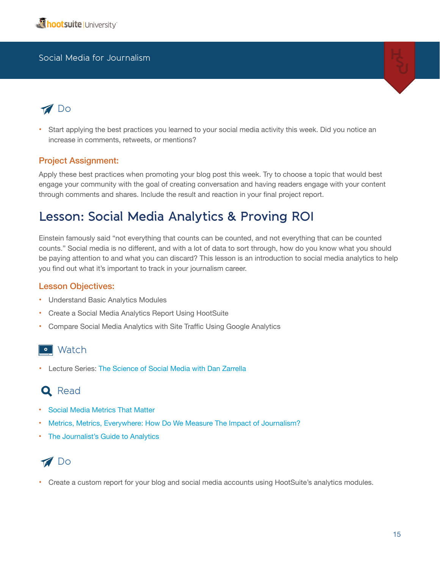

# **Do**

• Start applying the best practices you learned to your social media activity this week. Did you notice an increase in comments, retweets, or mentions?

#### Project Assignment:

Apply these best practices when promoting your blog post this week. Try to choose a topic that would best engage your community with the goal of creating conversation and having readers engage with your content through comments and shares. Include the result and reaction in your final project report.

# **Lesson: Social Media Analytics & Proving ROI**

Einstein famously said "not everything that counts can be counted, and not everything that can be counted counts." Social media is no different, and with a lot of data to sort through, how do you know what you should be paying attention to and what you can discard? This lesson is an introduction to social media analytics to help you find out what it's important to track in your journalism career.

#### Lesson Objectives:

- Understand Basic Analytics Modules
- Create a Social Media Analytics Report Using HootSuite
- Compare Social Media Analytics with Site Traffic Using Google Analytics

### • Watch

• Lecture Series: [The Science of Social Media with Dan Zarrella](http://learn.hootsuite.com/student.php?ctg=content&view_unit=65) 

# **Q** Read

- [Social Media Metrics That Matter](http://socialmediatoday.com/karen-cabochan/1248051/social-media-metrics-matter)
- [Metrics, Metrics, Everywhere: How Do We Measure The Impact of Journalism?](http://www.niemanlab.org/2012/08/metrics-metrics-everywhere-how-do-we-measure-the-impact-of-journalism/)
- [The Journalist's Guide to Analytics](http://www.mediabistro.com/10000words/the-journalists-guide-to-analytics_b875)

# **M** Do

• Create a custom report for your blog and social media accounts using HootSuite's analytics modules.